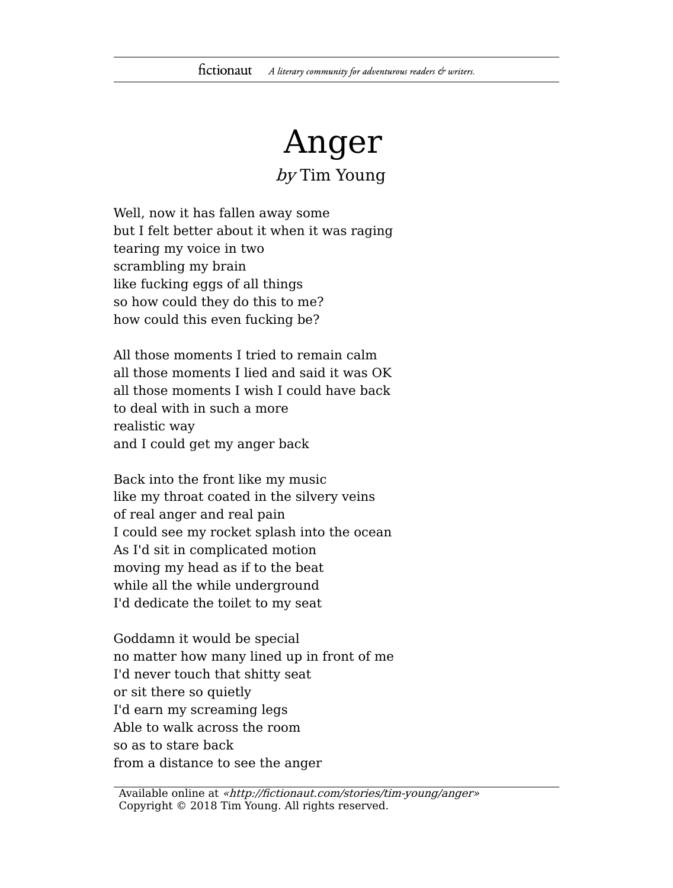## Anger

by Tim Young

Well, now it has fallen away some but I felt better about it when it was raging tearing my voice in two scrambling my brain like fucking eggs of all things so how could they do this to me? how could this even fucking be?

All those moments I tried to remain calm all those moments I lied and said it was OK all those moments I wish I could have back to deal with in such a more realistic way and I could get my anger back

Back into the front like my music like my throat coated in the silvery veins of real anger and real pain I could see my rocket splash into the ocean As I'd sit in complicated motion moving my head as if to the beat while all the while underground I'd dedicate the toilet to my seat

Goddamn it would be special no matter how many lined up in front of me I'd never touch that shitty seat or sit there so quietly I'd earn my screaming legs Able to walk across the room so as to stare back from a distance to see the anger

Available online at «http://fictionaut.com/stories/tim-young/anger» Copyright © 2018 Tim Young. All rights reserved.